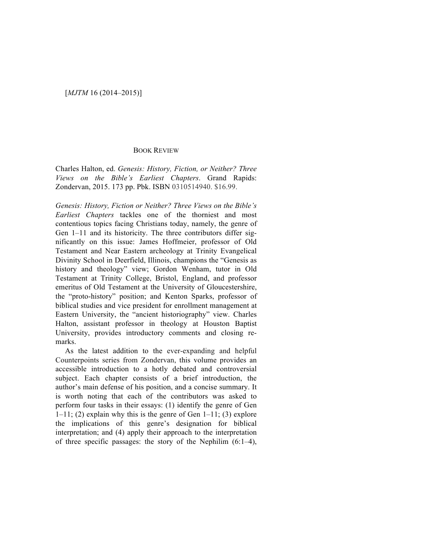## BOOK REVIEW

Charles Halton, ed. *Genesis: History, Fiction, or Neither? Three Views on the Bible's Earliest Chapters*. Grand Rapids: Zondervan, 2015. 173 pp. Pbk. ISBN 0310514940. \$16.99.

*Genesis: History, Fiction or Neither? Three Views on the Bible's Earliest Chapters* tackles one of the thorniest and most contentious topics facing Christians today, namely, the genre of Gen 1–11 and its historicity. The three contributors differ significantly on this issue: James Hoffmeier, professor of Old Testament and Near Eastern archeology at Trinity Evangelical Divinity School in Deerfield, Illinois, champions the "Genesis as history and theology" view; Gordon Wenham, tutor in Old Testament at Trinity College, Bristol, England, and professor emeritus of Old Testament at the University of Gloucestershire, the "proto-history" position; and Kenton Sparks, professor of biblical studies and vice president for enrollment management at Eastern University, the "ancient historiography" view. Charles Halton, assistant professor in theology at Houston Baptist University, provides introductory comments and closing remarks.

As the latest addition to the ever-expanding and helpful Counterpoints series from Zondervan, this volume provides an accessible introduction to a hotly debated and controversial subject. Each chapter consists of a brief introduction, the author's main defense of his position, and a concise summary. It is worth noting that each of the contributors was asked to perform four tasks in their essays: (1) identify the genre of Gen  $1-11$ ; (2) explain why this is the genre of Gen  $1-11$ ; (3) explore the implications of this genre's designation for biblical interpretation; and (4) apply their approach to the interpretation of three specific passages: the story of the Nephilim (6:1–4),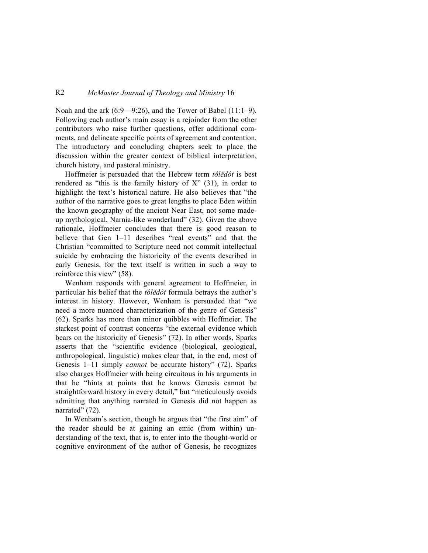## R2 *McMaster Journal of Theology and Ministry* 16

Noah and the ark (6:9—9:26), and the Tower of Babel (11:1–9). Following each author's main essay is a rejoinder from the other contributors who raise further questions, offer additional comments, and delineate specific points of agreement and contention. The introductory and concluding chapters seek to place the discussion within the greater context of biblical interpretation, church history, and pastoral ministry.

Hoffmeier is persuaded that the Hebrew term *tôlědôt* is best rendered as "this is the family history of  $X$ " (31), in order to highlight the text's historical nature. He also believes that "the author of the narrative goes to great lengths to place Eden within the known geography of the ancient Near East, not some madeup mythological, Narnia-like wonderland" (32). Given the above rationale, Hoffmeier concludes that there is good reason to believe that Gen 1–11 describes "real events" and that the Christian "committed to Scripture need not commit intellectual suicide by embracing the historicity of the events described in early Genesis, for the text itself is written in such a way to reinforce this view" (58).

Wenham responds with general agreement to Hoffmeier, in particular his belief that the *tôlědôt* formula betrays the author's interest in history. However, Wenham is persuaded that "we need a more nuanced characterization of the genre of Genesis" (62). Sparks has more than minor quibbles with Hoffmeier. The starkest point of contrast concerns "the external evidence which bears on the historicity of Genesis" (72). In other words, Sparks asserts that the "scientific evidence (biological, geological, anthropological, linguistic) makes clear that, in the end, most of Genesis 1–11 simply *cannot* be accurate history" (72). Sparks also charges Hoffmeier with being circuitous in his arguments in that he "hints at points that he knows Genesis cannot be straightforward history in every detail," but "meticulously avoids admitting that anything narrated in Genesis did not happen as narrated" (72).

In Wenham's section, though he argues that "the first aim" of the reader should be at gaining an emic (from within) understanding of the text, that is, to enter into the thought-world or cognitive environment of the author of Genesis, he recognizes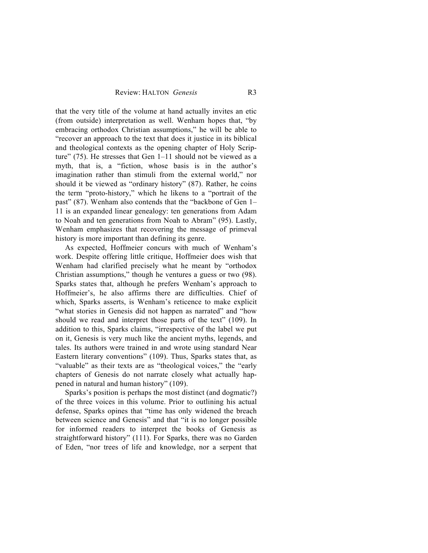that the very title of the volume at hand actually invites an etic (from outside) interpretation as well. Wenham hopes that, "by embracing orthodox Christian assumptions," he will be able to "recover an approach to the text that does it justice in its biblical and theological contexts as the opening chapter of Holy Scripture" (75). He stresses that Gen 1–11 should not be viewed as a myth, that is, a "fiction, whose basis is in the author's imagination rather than stimuli from the external world," nor should it be viewed as "ordinary history" (87). Rather, he coins the term "proto-history," which he likens to a "portrait of the past" (87). Wenham also contends that the "backbone of Gen 1– 11 is an expanded linear genealogy: ten generations from Adam to Noah and ten generations from Noah to Abram" (95). Lastly, Wenham emphasizes that recovering the message of primeval history is more important than defining its genre.

As expected, Hoffmeier concurs with much of Wenham's work. Despite offering little critique, Hoffmeier does wish that Wenham had clarified precisely what he meant by "orthodox Christian assumptions," though he ventures a guess or two (98). Sparks states that, although he prefers Wenham's approach to Hoffmeier's, he also affirms there are difficulties. Chief of which, Sparks asserts, is Wenham's reticence to make explicit "what stories in Genesis did not happen as narrated" and "how should we read and interpret those parts of the text" (109). In addition to this, Sparks claims, "irrespective of the label we put on it, Genesis is very much like the ancient myths, legends, and tales. Its authors were trained in and wrote using standard Near Eastern literary conventions" (109). Thus, Sparks states that, as "valuable" as their texts are as "theological voices," the "early chapters of Genesis do not narrate closely what actually happened in natural and human history" (109).

Sparks's position is perhaps the most distinct (and dogmatic?) of the three voices in this volume. Prior to outlining his actual defense, Sparks opines that "time has only widened the breach between science and Genesis" and that "it is no longer possible for informed readers to interpret the books of Genesis as straightforward history" (111). For Sparks, there was no Garden of Eden, "nor trees of life and knowledge, nor a serpent that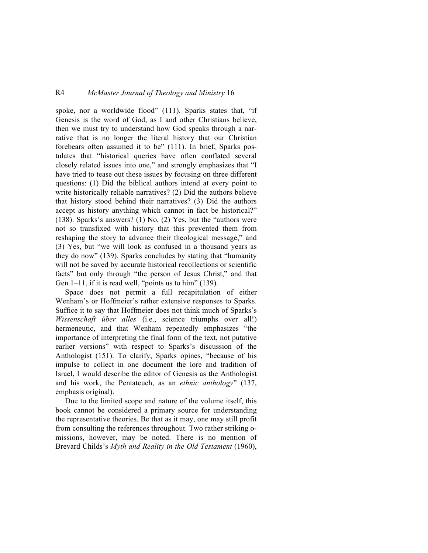## R4 *McMaster Journal of Theology and Ministry* 16

spoke, nor a worldwide flood" (111). Sparks states that, "if Genesis is the word of God, as I and other Christians believe, then we must try to understand how God speaks through a narrative that is no longer the literal history that our Christian forebears often assumed it to be" (111). In brief, Sparks postulates that "historical queries have often conflated several closely related issues into one," and strongly emphasizes that "I have tried to tease out these issues by focusing on three different questions: (1) Did the biblical authors intend at every point to write historically reliable narratives? (2) Did the authors believe that history stood behind their narratives? (3) Did the authors accept as history anything which cannot in fact be historical?" (138). Sparks's answers? (1) No, (2) Yes, but the "authors were not so transfixed with history that this prevented them from reshaping the story to advance their theological message," and (3) Yes, but "we will look as confused in a thousand years as they do now" (139). Sparks concludes by stating that "humanity will not be saved by accurate historical recollections or scientific facts" but only through "the person of Jesus Christ," and that Gen  $1-11$ , if it is read well, "points us to him" (139).

Space does not permit a full recapitulation of either Wenham's or Hoffmeier's rather extensive responses to Sparks. Suffice it to say that Hoffmeier does not think much of Sparks's *Wissenschaft über alles* (i.e., science triumphs over all!) hermeneutic, and that Wenham repeatedly emphasizes "the importance of interpreting the final form of the text, not putative earlier versions" with respect to Sparks's discussion of the Anthologist (151). To clarify, Sparks opines, "because of his impulse to collect in one document the lore and tradition of Israel, I would describe the editor of Genesis as the Anthologist and his work, the Pentateuch, as an *ethnic anthology*" (137, emphasis original).

Due to the limited scope and nature of the volume itself, this book cannot be considered a primary source for understanding the representative theories. Be that as it may, one may still profit from consulting the references throughout. Two rather striking omissions, however, may be noted. There is no mention of Brevard Childs's *Myth and Reality in the Old Testament* (1960),